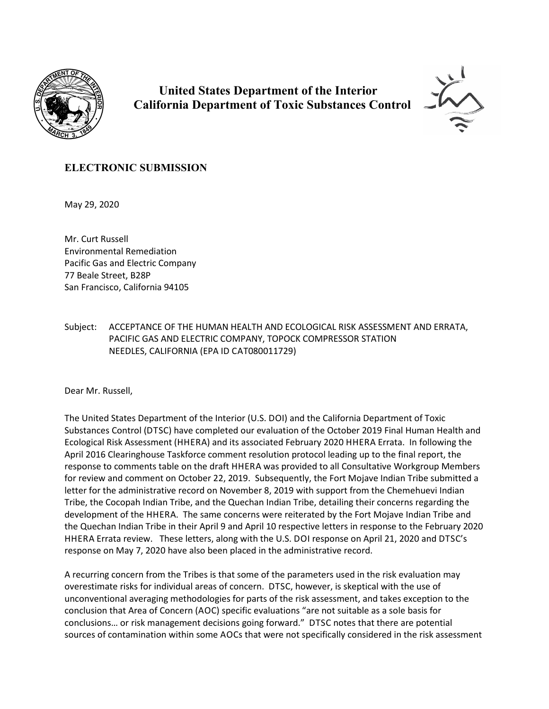

 **United States Department of the Interior California Department of Toxic Substances Control**



## **ELECTRONIC SUBMISSION**

May 29, 2020

Mr. Curt Russell Environmental Remediation Pacific Gas and Electric Company 77 Beale Street, B28P San Francisco, California 94105

Subject: ACCEPTANCE OF THE HUMAN HEALTH AND ECOLOGICAL RISK ASSESSMENT AND ERRATA, PACIFIC GAS AND ELECTRIC COMPANY, TOPOCK COMPRESSOR STATION NEEDLES, CALIFORNIA (EPA ID CAT080011729)

Dear Mr. Russell,

The United States Department of the Interior (U.S. DOI) and the California Department of Toxic Substances Control (DTSC) have completed our evaluation of the October 2019 Final Human Health and Ecological Risk Assessment (HHERA) and its associated February 2020 HHERA Errata. In following the April 2016 Clearinghouse Taskforce comment resolution protocol leading up to the final report, the response to comments table on the draft HHERA was provided to all Consultative Workgroup Members for review and comment on October 22, 2019. Subsequently, the Fort Mojave Indian Tribe submitted a letter for the administrative record on November 8, 2019 with support from the Chemehuevi Indian Tribe, the Cocopah Indian Tribe, and the Quechan Indian Tribe, detailing their concerns regarding the development of the HHERA. The same concerns were reiterated by the Fort Mojave Indian Tribe and the Quechan Indian Tribe in their April 9 and April 10 respective letters in response to the February 2020 HHERA Errata review. These letters, along with the U.S. DOI response on April 21, 2020 and DTSC's response on May 7, 2020 have also been placed in the administrative record.

A recurring concern from the Tribes is that some of the parameters used in the risk evaluation may overestimate risks for individual areas of concern. DTSC, however, is skeptical with the use of unconventional averaging methodologies for parts of the risk assessment, and takes exception to the conclusion that Area of Concern (AOC) specific evaluations "are not suitable as a sole basis for conclusions… or risk management decisions going forward." DTSC notes that there are potential sources of contamination within some AOCs that were not specifically considered in the risk assessment